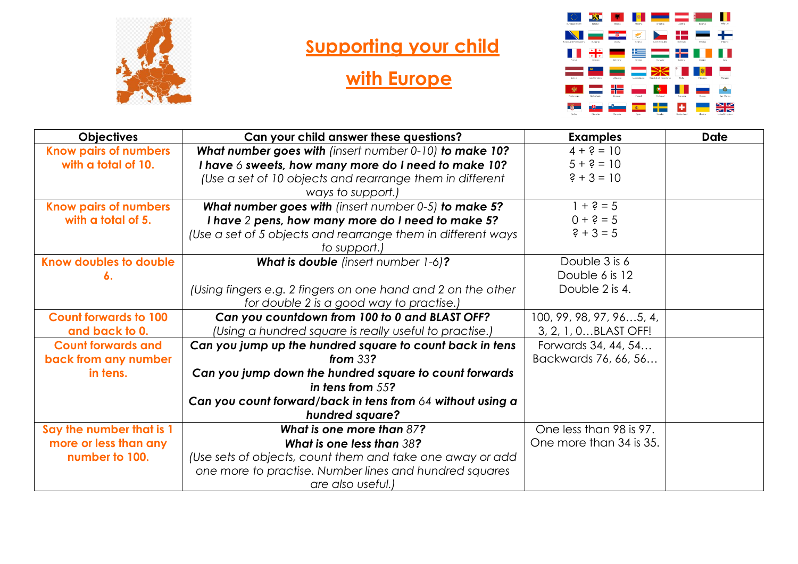

## **Supporting your child**

## **with Europe**



| <b>Objectives</b>            | Can your child answer these questions?                       | <b>Examples</b>          | <b>Date</b> |
|------------------------------|--------------------------------------------------------------|--------------------------|-------------|
| <b>Know pairs of numbers</b> | What number goes with (insert number 0-10) to make 10?       | $4 + ? = 10$             |             |
| with a total of 10.          | I have 6 sweets, how many more do I need to make 10?         | $5 + ? = 10$             |             |
|                              | (Use a set of 10 objects and rearrange them in different     | $? + 3 = 10$             |             |
|                              | ways to support.)                                            |                          |             |
| <b>Know pairs of numbers</b> | What number goes with (insert number 0-5) to make 5?         | $1 + 2 = 5$              |             |
| with a total of 5.           | I have 2 pens, how many more do I need to make 5?            | $0 + 2 = 5$              |             |
|                              | (Use a set of 5 objects and rearrange them in different ways | $? + 3 = 5$              |             |
|                              | to support.)                                                 |                          |             |
| Know doubles to double       | What is double (insert number 1-6)?                          | Double 3 is 6            |             |
| 6.                           |                                                              | Double 6 is 12           |             |
|                              | (Using fingers e.g. 2 fingers on one hand and 2 on the other | Double 2 is 4.           |             |
|                              | for double 2 is a good way to practise.)                     |                          |             |
| <b>Count forwards to 100</b> | Can you countdown from 100 to 0 and BLAST OFF?               | 100, 99, 98, 97, 965, 4, |             |
| and back to 0.               | (Using a hundred square is really useful to practise.)       | 3, 2, 1, 0BLAST OFF!     |             |
| <b>Count forwards and</b>    | Can you jump up the hundred square to count back in tens     | Forwards 34, 44, 54      |             |
| back from any number         | from $33$ ?                                                  | Backwards 76, 66, 56     |             |
| in tens.                     | Can you jump down the hundred square to count forwards       |                          |             |
|                              | in tens from $55$ ?                                          |                          |             |
|                              | Can you count forward/back in tens from 64 without using a   |                          |             |
|                              | hundred square?                                              |                          |             |
| Say the number that is 1     | What is one more than 87?                                    | One less than 98 is 97.  |             |
| more or less than any        | What is one less than 38?                                    | One more than 34 is 35.  |             |
| number to 100.               | (Use sets of objects, count them and take one away or add    |                          |             |
|                              | one more to practise. Number lines and hundred squares       |                          |             |
|                              | are also useful.)                                            |                          |             |